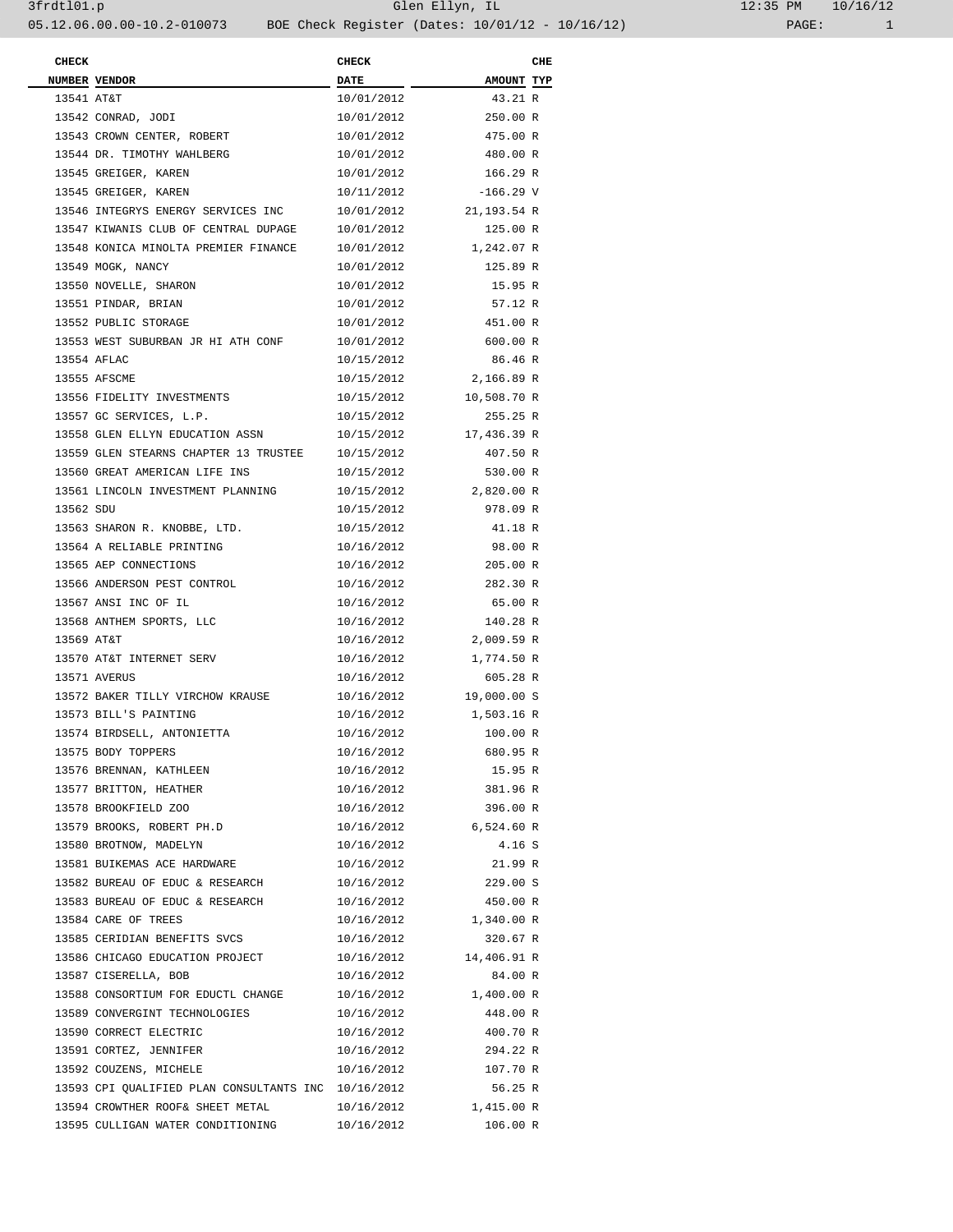| <b>CHECK</b> |                                                     | <b>CHECK</b> |             | CHE |
|--------------|-----------------------------------------------------|--------------|-------------|-----|
|              | NUMBER VENDOR                                       | <b>DATE</b>  | AMOUNT TYP  |     |
| 13541 AT&T   |                                                     | 10/01/2012   | 43.21 R     |     |
|              | 13542 CONRAD, JODI                                  | 10/01/2012   | 250.00 R    |     |
|              | 13543 CROWN CENTER, ROBERT                          | 10/01/2012   | 475.00 R    |     |
|              | 13544 DR. TIMOTHY WAHLBERG                          | 10/01/2012   | 480.00 R    |     |
|              | 13545 GREIGER, KAREN                                | 10/01/2012   | 166.29 R    |     |
|              | 13545 GREIGER, KAREN                                | 10/11/2012   | $-166.29$ V |     |
|              | 13546 INTEGRYS ENERGY SERVICES INC                  | 10/01/2012   | 21,193.54 R |     |
|              | 13547 KIWANIS CLUB OF CENTRAL DUPAGE                | 10/01/2012   | 125.00 R    |     |
|              | 13548 KONICA MINOLTA PREMIER FINANCE                | 10/01/2012   | 1,242.07 R  |     |
|              | 13549 MOGK, NANCY                                   | 10/01/2012   | 125.89 R    |     |
|              | 13550 NOVELLE, SHARON                               | 10/01/2012   | 15.95 R     |     |
|              | 13551 PINDAR, BRIAN                                 | 10/01/2012   | 57.12 R     |     |
|              | 13552 PUBLIC STORAGE                                | 10/01/2012   | 451.00 R    |     |
|              | 13553 WEST SUBURBAN JR HI ATH CONF                  | 10/01/2012   | 600.00 R    |     |
|              | 13554 AFLAC                                         | 10/15/2012   | 86.46 R     |     |
|              | 13555 AFSCME                                        | 10/15/2012   | 2,166.89 R  |     |
|              | 13556 FIDELITY INVESTMENTS                          | 10/15/2012   | 10,508.70 R |     |
|              | 13557 GC SERVICES, L.P.                             | 10/15/2012   | 255.25 R    |     |
|              | 13558 GLEN ELLYN EDUCATION ASSN                     | 10/15/2012   | 17,436.39 R |     |
|              | 13559 GLEN STEARNS CHAPTER 13 TRUSTEE               | 10/15/2012   | 407.50 R    |     |
|              | 13560 GREAT AMERICAN LIFE INS                       | 10/15/2012   | 530.00 R    |     |
|              | 13561 LINCOLN INVESTMENT PLANNING                   | 10/15/2012   | 2,820.00 R  |     |
| 13562 SDU    |                                                     | 10/15/2012   | 978.09 R    |     |
|              | 13563 SHARON R. KNOBBE, LTD.                        | 10/15/2012   | 41.18 R     |     |
|              | 13564 A RELIABLE PRINTING                           | 10/16/2012   | 98.00 R     |     |
|              | 13565 AEP CONNECTIONS                               | 10/16/2012   | 205.00 R    |     |
|              | 13566 ANDERSON PEST CONTROL                         | 10/16/2012   | 282.30 R    |     |
|              |                                                     |              |             |     |
|              | 13567 ANSI INC OF IL                                | 10/16/2012   | 65.00 R     |     |
| 13569 AT&T   | 13568 ANTHEM SPORTS, LLC                            | 10/16/2012   | 140.28 R    |     |
|              |                                                     | 10/16/2012   | 2,009.59 R  |     |
|              | 13570 AT&T INTERNET SERV                            | 10/16/2012   | 1,774.50 R  |     |
|              | 13571 AVERUS                                        | 10/16/2012   | 605.28 R    |     |
|              | 13572 BAKER TILLY VIRCHOW KRAUSE                    | 10/16/2012   | 19,000.00 S |     |
|              | 13573 BILL'S PAINTING                               | 10/16/2012   | 1,503.16 R  |     |
|              | 13574 BIRDSELL, ANTONIETTA                          | 10/16/2012   | 100.00 R    |     |
|              | 13575 BODY TOPPERS                                  | 10/16/2012   | 680.95 R    |     |
|              | 13576 BRENNAN, KATHLEEN                             | 10/16/2012   | 15.95 R     |     |
|              | 13577 BRITTON, HEATHER                              | 10/16/2012   | 381.96 R    |     |
|              | 13578 BROOKFIELD ZOO                                | 10/16/2012   | 396.00 R    |     |
|              | 13579 BROOKS, ROBERT PH.D                           | 10/16/2012   | 6,524.60 R  |     |
|              | 13580 BROTNOW, MADELYN                              | 10/16/2012   | 4.16S       |     |
|              | 13581 BUIKEMAS ACE HARDWARE                         | 10/16/2012   | 21.99 R     |     |
|              | 13582 BUREAU OF EDUC & RESEARCH                     | 10/16/2012   | 229.00 S    |     |
|              | 13583 BUREAU OF EDUC & RESEARCH                     | 10/16/2012   | 450.00 R    |     |
|              | 13584 CARE OF TREES                                 | 10/16/2012   | 1,340.00 R  |     |
|              | 13585 CERIDIAN BENEFITS SVCS                        | 10/16/2012   | 320.67 R    |     |
|              | 13586 CHICAGO EDUCATION PROJECT                     | 10/16/2012   | 14,406.91 R |     |
|              | 13587 CISERELLA, BOB                                | 10/16/2012   | 84.00 R     |     |
|              | 13588 CONSORTIUM FOR EDUCTL CHANGE                  | 10/16/2012   | 1,400.00 R  |     |
|              | 13589 CONVERGINT TECHNOLOGIES                       | 10/16/2012   | 448.00 R    |     |
|              | 13590 CORRECT ELECTRIC                              | 10/16/2012   | 400.70 R    |     |
|              | 13591 CORTEZ, JENNIFER                              | 10/16/2012   | 294.22 R    |     |
|              | 13592 COUZENS, MICHELE                              | 10/16/2012   | 107.70 R    |     |
|              | 13593 CPI QUALIFIED PLAN CONSULTANTS INC 10/16/2012 |              | 56.25 R     |     |
|              | 13594 CROWTHER ROOF& SHEET METAL                    | 10/16/2012   | 1,415.00 R  |     |
|              | 13595 CULLIGAN WATER CONDITIONING                   | 10/16/2012   | 106.00 R    |     |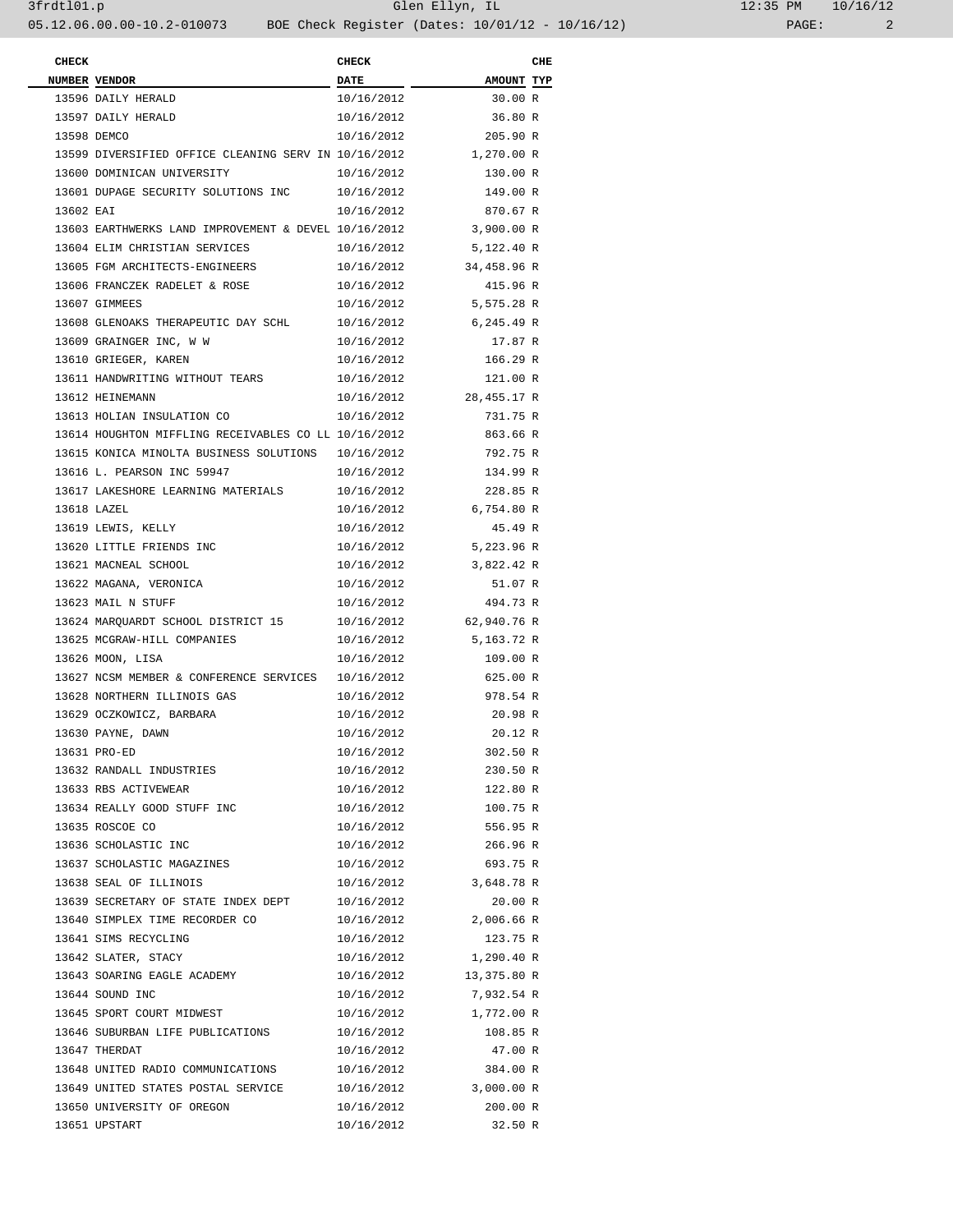| 12:35 PM |       | 10/16/12 |
|----------|-------|----------|
|          | PAGE: |          |

| <b>CHECK</b> |                                                                 | <b>CHECK</b> |                        | CHE |
|--------------|-----------------------------------------------------------------|--------------|------------------------|-----|
|              | <b>NUMBER VENDOR</b>                                            | <b>DATE</b>  | AMOUNT TYP             |     |
|              | 13596 DAILY HERALD                                              | 10/16/2012   | 30.00 R                |     |
|              | 13597 DAILY HERALD                                              | 10/16/2012   | 36.80 R                |     |
|              | 13598 DEMCO                                                     | 10/16/2012   | 205.90 R               |     |
|              | 13599 DIVERSIFIED OFFICE CLEANING SERV IN 10/16/2012            |              | 1,270.00 R             |     |
|              | 13600 DOMINICAN UNIVERSITY                                      | 10/16/2012   | 130.00 R               |     |
|              | 13601 DUPAGE SECURITY SOLUTIONS INC 10/16/2012                  |              | 149.00 R               |     |
| 13602 EAI    |                                                                 | 10/16/2012   | 870.67 R               |     |
|              | 13603 EARTHWERKS LAND IMPROVEMENT & DEVEL 10/16/2012 3,900.00 R |              |                        |     |
|              | 13604 ELIM CHRISTIAN SERVICES                                   | 10/16/2012   | 5,122.40 R             |     |
|              | 13605 FGM ARCHITECTS-ENGINEERS                                  | 10/16/2012   | 34,458.96 R            |     |
|              | 13606 FRANCZEK RADELET & ROSE                                   | 10/16/2012   | 415.96 R               |     |
|              | 13607 GIMMEES                                                   |              | 10/16/2012 5,575.28 R  |     |
|              | 13608 GLENOAKS THERAPEUTIC DAY SCHL                             | 10/16/2012   | 6,245.49 R             |     |
|              | 13609 GRAINGER INC, W W                                         | 10/16/2012   | 17.87 R                |     |
|              | 13610 GRIEGER, KAREN                                            | 10/16/2012   | 166.29 R               |     |
|              | 13611 HANDWRITING WITHOUT TEARS                                 | 10/16/2012   | 121.00 R               |     |
|              | 13612 HEINEMANN                                                 | 10/16/2012   | 28,455.17 R            |     |
|              | 13613 HOLIAN INSULATION CO                                      | 10/16/2012   | 731.75 R               |     |
|              | 13614 HOUGHTON MIFFLING RECEIVABLES CO LL 10/16/2012            |              | 863.66 R               |     |
|              | 13615 KONICA MINOLTA BUSINESS SOLUTIONS 10/16/2012              |              | 792.75 R               |     |
|              | 13616 L. PEARSON INC 59947                                      | 10/16/2012   | 134.99 R               |     |
|              | 13617 LAKESHORE LEARNING MATERIALS                              | 10/16/2012   | 228.85 R               |     |
|              | 13618 LAZEL                                                     | 10/16/2012   | 6,754.80 R             |     |
|              | 13619 LEWIS, KELLY                                              | 10/16/2012   | 45.49 R                |     |
|              | 13620 LITTLE FRIENDS INC                                        | 10/16/2012   | 5,223.96 R             |     |
|              | 13621 MACNEAL SCHOOL                                            | 10/16/2012   | 3,822.42 R             |     |
|              | 13622 MAGANA, VERONICA                                          | 10/16/2012   | 51.07 R                |     |
|              | 13623 MAIL N STUFF                                              | 10/16/2012   | 494.73 R               |     |
|              | 13624 MARQUARDT SCHOOL DISTRICT 15                              |              | 10/16/2012 62,940.76 R |     |
|              | 13625 MCGRAW-HILL COMPANIES                                     | 10/16/2012   | 5,163.72 R             |     |
|              | 13626 MOON, LISA                                                | 10/16/2012   | 109.00 R               |     |
|              | 13627 NCSM MEMBER & CONFERENCE SERVICES 10/16/2012              |              | 625.00 R               |     |
|              | 13628 NORTHERN ILLINOIS GAS                                     | 10/16/2012   | 978.54 R               |     |
|              | 13629 OCZKOWICZ, BARBARA                                        | 10/16/2012   | 20.98 R                |     |
|              | 13630 PAYNE, DAWN                                               | 10/16/2012   | 20.12R                 |     |
|              | 13631 PRO-ED                                                    | 10/16/2012   | 302.50 R               |     |
|              | 13632 RANDALL INDUSTRIES                                        | 10/16/2012   | 230.50 R               |     |
|              | 13633 RBS ACTIVEWEAR                                            | 10/16/2012   | 122.80 R               |     |
|              | 13634 REALLY GOOD STUFF INC                                     | 10/16/2012   | 100.75 R               |     |
|              | 13635 ROSCOE CO                                                 | 10/16/2012   | 556.95 R               |     |
|              | 13636 SCHOLASTIC INC                                            | 10/16/2012   | 266.96 R               |     |
|              | 13637 SCHOLASTIC MAGAZINES                                      | 10/16/2012   | 693.75 R               |     |
|              | 13638 SEAL OF ILLINOIS                                          | 10/16/2012   | 3,648.78 R             |     |
|              | 13639 SECRETARY OF STATE INDEX DEPT                             | 10/16/2012   | 20.00 R                |     |
|              | 13640 SIMPLEX TIME RECORDER CO                                  | 10/16/2012   | 2,006.66 R             |     |
|              | 13641 SIMS RECYCLING                                            | 10/16/2012   | 123.75 R               |     |
|              | 13642 SLATER, STACY                                             | 10/16/2012   | 1,290.40 R             |     |
|              | 13643 SOARING EAGLE ACADEMY                                     | 10/16/2012   | 13,375.80 R            |     |
|              | 13644 SOUND INC                                                 | 10/16/2012   | 7,932.54 R             |     |
|              | 13645 SPORT COURT MIDWEST                                       | 10/16/2012   | 1,772.00 R             |     |
|              | 13646 SUBURBAN LIFE PUBLICATIONS                                | 10/16/2012   | 108.85 R               |     |
|              | 13647 THERDAT                                                   | 10/16/2012   | 47.00 R                |     |
|              | 13648 UNITED RADIO COMMUNICATIONS                               | 10/16/2012   | 384.00 R               |     |
|              | 13649 UNITED STATES POSTAL SERVICE                              | 10/16/2012   | 3,000.00 R             |     |
|              | 13650 UNIVERSITY OF OREGON                                      | 10/16/2012   | 200.00 R               |     |
|              | 13651 UPSTART                                                   | 10/16/2012   | 32.50 R                |     |
|              |                                                                 |              |                        |     |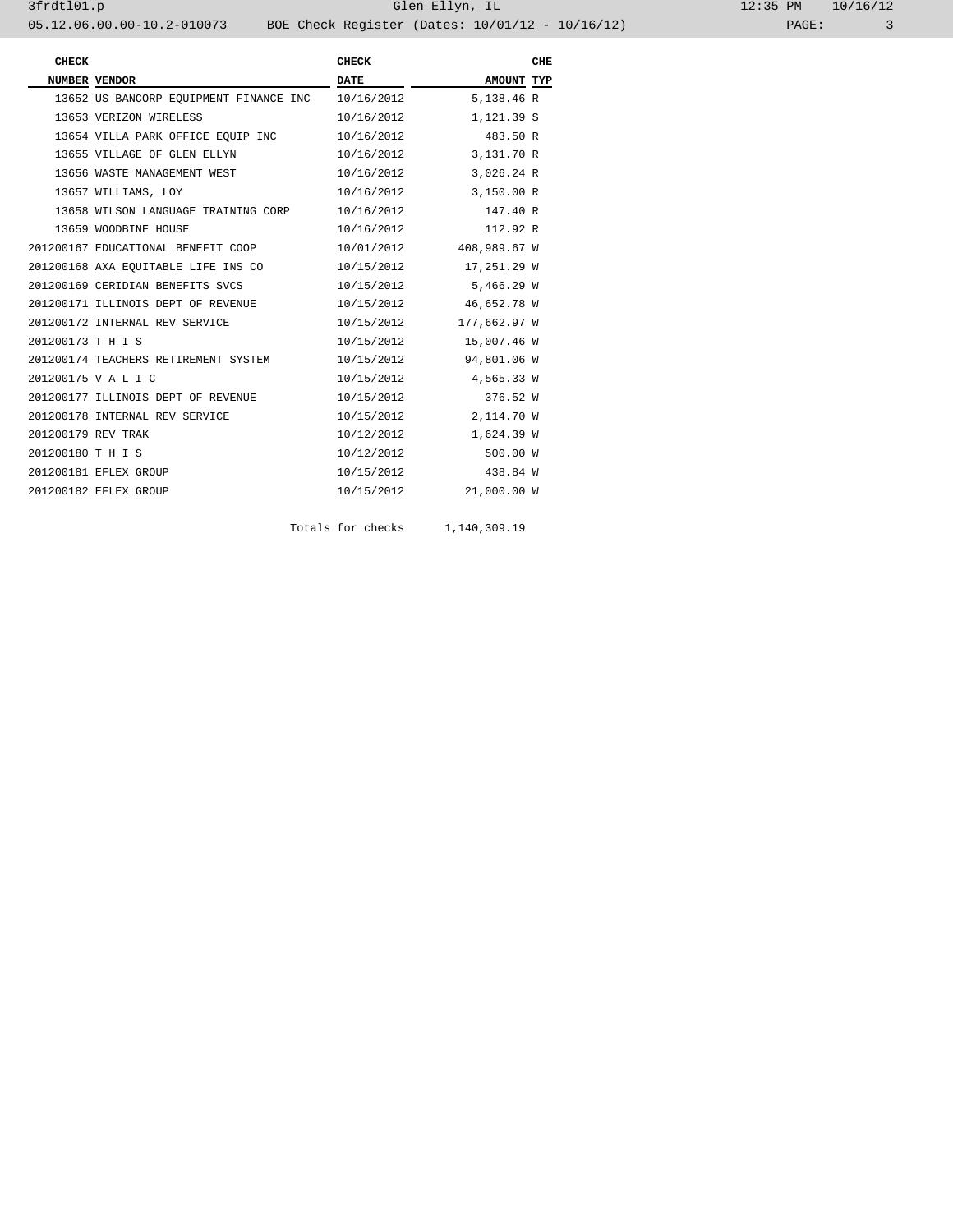| <b>CHECK</b>       |                                        | <b>CHECK</b> |              | CHE |
|--------------------|----------------------------------------|--------------|--------------|-----|
|                    | <b>NUMBER VENDOR</b>                   | <b>DATE</b>  | AMOUNT TYP   |     |
|                    | 13652 US BANCORP EOUIPMENT FINANCE INC | 10/16/2012   | 5,138.46 R   |     |
|                    | 13653 VERIZON WIRELESS                 | 10/16/2012   | 1,121.39 S   |     |
|                    | 13654 VILLA PARK OFFICE EOUIP INC      | 10/16/2012   | 483.50 R     |     |
|                    | 13655 VILLAGE OF GLEN ELLYN            | 10/16/2012   | 3,131.70 R   |     |
|                    | 13656 WASTE MANAGEMENT WEST            | 10/16/2012   | 3,026.24 R   |     |
|                    | 13657 WILLIAMS, LOY                    | 10/16/2012   | 3,150.00 R   |     |
|                    | 13658 WILSON LANGUAGE TRAINING CORP    | 10/16/2012   | 147.40 R     |     |
|                    | 13659 WOODBINE HOUSE                   | 10/16/2012   | 112.92 R     |     |
|                    | 201200167 EDUCATIONAL BENEFIT COOP     | 10/01/2012   | 408,989.67 W |     |
|                    | 201200168 AXA EQUITABLE LIFE INS CO    | 10/15/2012   | 17,251.29 W  |     |
|                    | 201200169 CERIDIAN BENEFITS SVCS       | 10/15/2012   | 5,466.29 W   |     |
|                    | 201200171 ILLINOIS DEPT OF REVENUE     | 10/15/2012   | 46,652.78 W  |     |
|                    | 201200172 INTERNAL REV SERVICE         | 10/15/2012   | 177,662.97 W |     |
| 201200173 T H I S  |                                        | 10/15/2012   | 15,007.46 W  |     |
|                    | 201200174 TEACHERS RETIREMENT SYSTEM   | 10/15/2012   | 94,801.06 W  |     |
|                    | 201200175 V A L I C                    | 10/15/2012   | 4,565.33 W   |     |
|                    | 201200177 ILLINOIS DEPT OF REVENUE     | 10/15/2012   | 376.52 W     |     |
|                    | 201200178 INTERNAL REV SERVICE         | 10/15/2012   | 2,114.70 W   |     |
| 201200179 REV TRAK |                                        | 10/12/2012   | 1,624.39 W   |     |
| 201200180 T H I S  |                                        | 10/12/2012   | 500.00 W     |     |
|                    | 201200181 EFLEX GROUP                  | 10/15/2012   | 438.84 W     |     |
|                    | 201200182 EFLEX GROUP                  | 10/15/2012   | 21,000.00 W  |     |
|                    |                                        |              |              |     |

Totals for checks 1,140,309.19